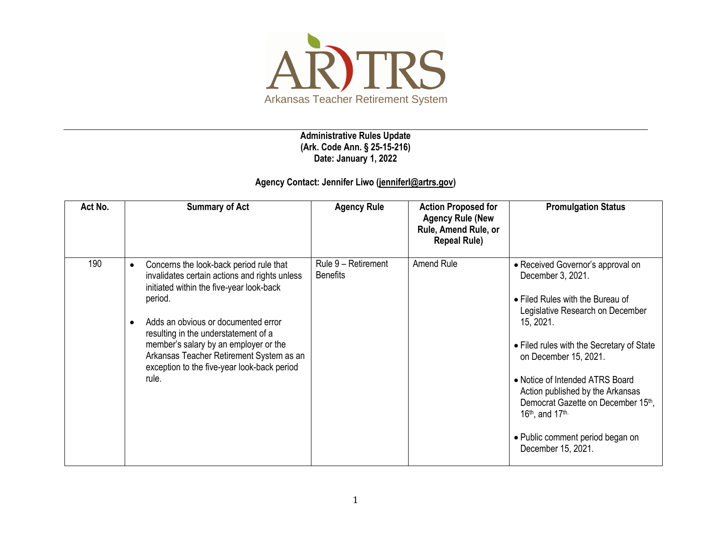

**Administrative Rules Update (Ark. Code Ann. § 25-15-216) Date: January 1, 2022**

## **Agency Contact: Jennifer Liwo [\(jenniferl@artrs.gov\)](mailto:jenniferl@artrs.gov)**

| Act No. | <b>Summary of Act</b>                                                                                                                                                                                                                                                                                                                                                                                 | <b>Agency Rule</b>                     | <b>Action Proposed for</b><br><b>Agency Rule (New</b><br>Rule, Amend Rule, or<br><b>Repeal Rule)</b> | <b>Promulgation Status</b>                                                                                                                                                                                                                                                                                                                                                                                                           |
|---------|-------------------------------------------------------------------------------------------------------------------------------------------------------------------------------------------------------------------------------------------------------------------------------------------------------------------------------------------------------------------------------------------------------|----------------------------------------|------------------------------------------------------------------------------------------------------|--------------------------------------------------------------------------------------------------------------------------------------------------------------------------------------------------------------------------------------------------------------------------------------------------------------------------------------------------------------------------------------------------------------------------------------|
| 190     | Concerns the look-back period rule that<br>$\bullet$<br>invalidates certain actions and rights unless<br>initiated within the five-year look-back<br>period.<br>Adds an obvious or documented error<br>$\bullet$<br>resulting in the understatement of a<br>member's salary by an employer or the<br>Arkansas Teacher Retirement System as an<br>exception to the five-year look-back period<br>rule. | Rule 9 - Retirement<br><b>Benefits</b> | Amend Rule                                                                                           | • Received Governor's approval on<br>December 3, 2021.<br>• Filed Rules with the Bureau of<br>Legislative Research on December<br>15, 2021.<br>• Filed rules with the Secretary of State<br>on December 15, 2021.<br>• Notice of Intended ATRS Board<br>Action published by the Arkansas<br>Democrat Gazette on December 15th,<br>16 <sup>th</sup> , and 17 <sup>th.</sup><br>• Public comment period began on<br>December 15, 2021. |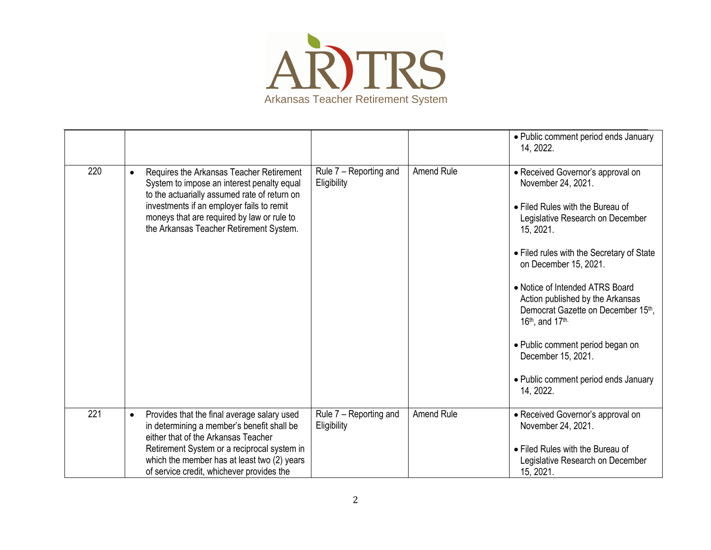

|     |           |                                                                                                                                                                                                                                                                              |                                       |                   | • Public comment period ends January<br>14, 2022.                                                                                                                                                                                                                                                                                                                                                                                                                                          |
|-----|-----------|------------------------------------------------------------------------------------------------------------------------------------------------------------------------------------------------------------------------------------------------------------------------------|---------------------------------------|-------------------|--------------------------------------------------------------------------------------------------------------------------------------------------------------------------------------------------------------------------------------------------------------------------------------------------------------------------------------------------------------------------------------------------------------------------------------------------------------------------------------------|
| 220 | $\bullet$ | Requires the Arkansas Teacher Retirement<br>System to impose an interest penalty equal<br>to the actuarially assumed rate of return on<br>investments if an employer fails to remit<br>moneys that are required by law or rule to<br>the Arkansas Teacher Retirement System. | Rule 7 - Reporting and<br>Eligibility | Amend Rule        | • Received Governor's approval on<br>November 24, 2021.<br>• Filed Rules with the Bureau of<br>Legislative Research on December<br>15, 2021.<br>• Filed rules with the Secretary of State<br>on December 15, 2021.<br>• Notice of Intended ATRS Board<br>Action published by the Arkansas<br>Democrat Gazette on December 15th.<br>16 <sup>th</sup> , and 17 <sup>th.</sup><br>• Public comment period began on<br>December 15, 2021.<br>• Public comment period ends January<br>14, 2022. |
|     |           |                                                                                                                                                                                                                                                                              |                                       |                   |                                                                                                                                                                                                                                                                                                                                                                                                                                                                                            |
| 221 | $\bullet$ | Provides that the final average salary used<br>in determining a member's benefit shall be<br>either that of the Arkansas Teacher                                                                                                                                             | Rule 7 - Reporting and<br>Eligibility | <b>Amend Rule</b> | • Received Governor's approval on<br>November 24, 2021.                                                                                                                                                                                                                                                                                                                                                                                                                                    |
|     |           | Retirement System or a reciprocal system in<br>which the member has at least two (2) years<br>of service credit, whichever provides the                                                                                                                                      |                                       |                   | • Filed Rules with the Bureau of<br>Legislative Research on December<br>15, 2021.                                                                                                                                                                                                                                                                                                                                                                                                          |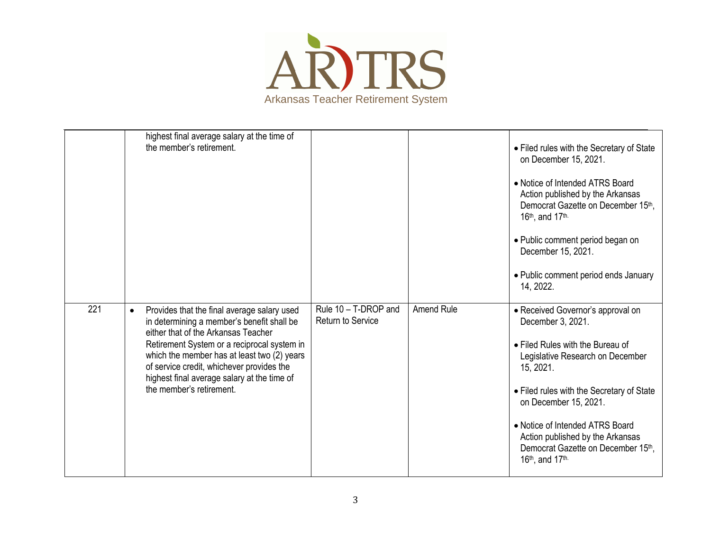

|     | highest final average salary at the time of<br>the member's retirement.                                                                                                                                                                                                                                                                                             |                                           |            | • Filed rules with the Secretary of State<br>on December 15, 2021.<br>• Notice of Intended ATRS Board<br>Action published by the Arkansas<br>Democrat Gazette on December 15th,<br>16th, and 17th.<br>• Public comment period began on<br>December 15, 2021.<br>• Public comment period ends January<br>14, 2022.                                 |
|-----|---------------------------------------------------------------------------------------------------------------------------------------------------------------------------------------------------------------------------------------------------------------------------------------------------------------------------------------------------------------------|-------------------------------------------|------------|---------------------------------------------------------------------------------------------------------------------------------------------------------------------------------------------------------------------------------------------------------------------------------------------------------------------------------------------------|
| 221 | Provides that the final average salary used<br>$\bullet$<br>in determining a member's benefit shall be<br>either that of the Arkansas Teacher<br>Retirement System or a reciprocal system in<br>which the member has at least two (2) years<br>of service credit, whichever provides the<br>highest final average salary at the time of<br>the member's retirement. | Rule 10 - T-DROP and<br>Return to Service | Amend Rule | • Received Governor's approval on<br>December 3, 2021.<br>• Filed Rules with the Bureau of<br>Legislative Research on December<br>15, 2021.<br>• Filed rules with the Secretary of State<br>on December 15, 2021.<br>• Notice of Intended ATRS Board<br>Action published by the Arkansas<br>Democrat Gazette on December 15th.<br>16th, and 17th. |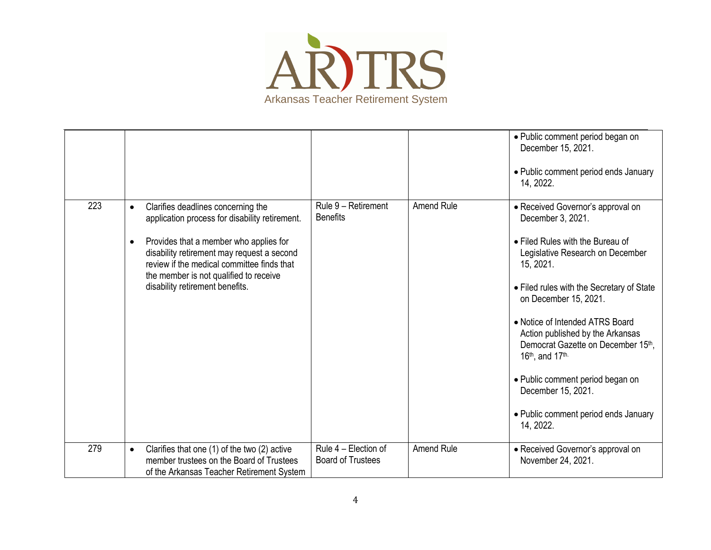

|     |                                                                                                                                                                                                                                                                                                                      |                                                  |                   | • Public comment period began on<br>December 15, 2021.<br>• Public comment period ends January<br>14, 2022.                                                                                                                                                                                                                                                                                                                                                      |
|-----|----------------------------------------------------------------------------------------------------------------------------------------------------------------------------------------------------------------------------------------------------------------------------------------------------------------------|--------------------------------------------------|-------------------|------------------------------------------------------------------------------------------------------------------------------------------------------------------------------------------------------------------------------------------------------------------------------------------------------------------------------------------------------------------------------------------------------------------------------------------------------------------|
| 223 | Clarifies deadlines concerning the<br>$\bullet$<br>application process for disability retirement.<br>Provides that a member who applies for<br>disability retirement may request a second<br>review if the medical committee finds that<br>the member is not qualified to receive<br>disability retirement benefits. | Rule 9 - Retirement<br><b>Benefits</b>           | <b>Amend Rule</b> | • Received Governor's approval on<br>December 3, 2021.<br>• Filed Rules with the Bureau of<br>Legislative Research on December<br>15, 2021.<br>• Filed rules with the Secretary of State<br>on December 15, 2021.<br>• Notice of Intended ATRS Board<br>Action published by the Arkansas<br>Democrat Gazette on December 15th,<br>16th, and 17th.<br>· Public comment period began on<br>December 15, 2021.<br>• Public comment period ends January<br>14, 2022. |
| 279 | Clarifies that one (1) of the two (2) active<br>$\bullet$<br>member trustees on the Board of Trustees<br>of the Arkansas Teacher Retirement System                                                                                                                                                                   | Rule 4 - Election of<br><b>Board of Trustees</b> | <b>Amend Rule</b> | • Received Governor's approval on<br>November 24, 2021.                                                                                                                                                                                                                                                                                                                                                                                                          |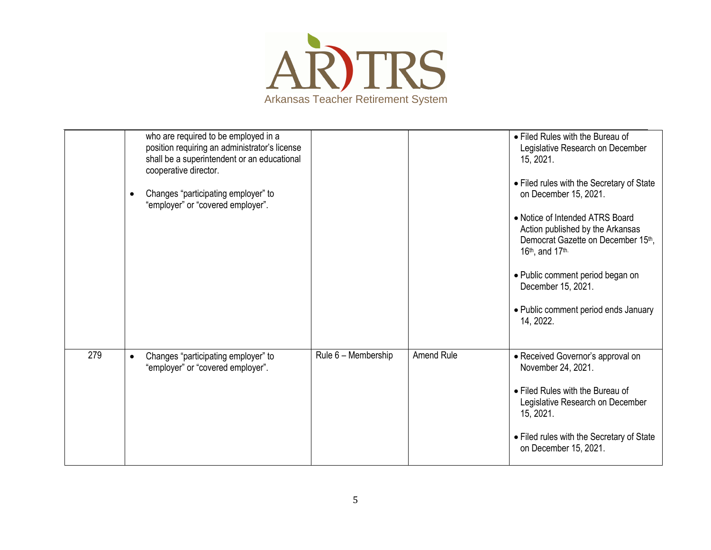

|     | who are required to be employed in a<br>position requiring an administrator's license<br>shall be a superintendent or an educational<br>cooperative director.<br>Changes "participating employer" to<br>$\bullet$<br>"employer" or "covered employer". |                     |            | • Filed Rules with the Bureau of<br>Legislative Research on December<br>15, 2021.<br>• Filed rules with the Secretary of State<br>on December 15, 2021.<br>• Notice of Intended ATRS Board<br>Action published by the Arkansas<br>Democrat Gazette on December 15th,<br>$16th$ , and $17th$ .<br>• Public comment period began on<br>December 15, 2021.<br>• Public comment period ends January<br>14, 2022. |
|-----|--------------------------------------------------------------------------------------------------------------------------------------------------------------------------------------------------------------------------------------------------------|---------------------|------------|--------------------------------------------------------------------------------------------------------------------------------------------------------------------------------------------------------------------------------------------------------------------------------------------------------------------------------------------------------------------------------------------------------------|
| 279 | Changes "participating employer" to<br>$\bullet$<br>"employer" or "covered employer".                                                                                                                                                                  | Rule 6 - Membership | Amend Rule | • Received Governor's approval on<br>November 24, 2021.<br>• Filed Rules with the Bureau of<br>Legislative Research on December<br>15, 2021.<br>• Filed rules with the Secretary of State<br>on December 15, 2021.                                                                                                                                                                                           |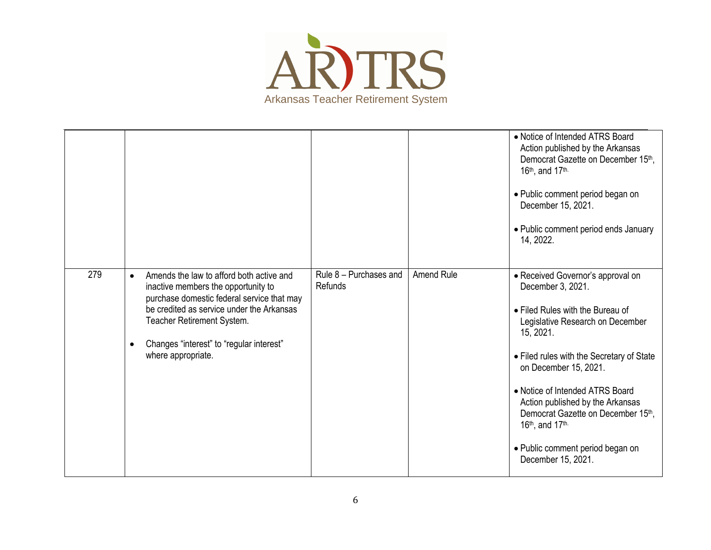

|     |                                                                                                                                                                                                                                                                                         |                                          |            | • Notice of Intended ATRS Board<br>Action published by the Arkansas<br>Democrat Gazette on December 15th,<br>16th, and 17th.<br>• Public comment period began on<br>December 15, 2021.<br>• Public comment period ends January<br>14, 2022.                                                                                                                                                                 |
|-----|-----------------------------------------------------------------------------------------------------------------------------------------------------------------------------------------------------------------------------------------------------------------------------------------|------------------------------------------|------------|-------------------------------------------------------------------------------------------------------------------------------------------------------------------------------------------------------------------------------------------------------------------------------------------------------------------------------------------------------------------------------------------------------------|
| 279 | Amends the law to afford both active and<br>$\bullet$<br>inactive members the opportunity to<br>purchase domestic federal service that may<br>be credited as service under the Arkansas<br>Teacher Retirement System.<br>Changes "interest" to "regular interest"<br>where appropriate. | Rule 8 - Purchases and<br><b>Refunds</b> | Amend Rule | • Received Governor's approval on<br>December 3, 2021.<br>• Filed Rules with the Bureau of<br>Legislative Research on December<br>15, 2021.<br>• Filed rules with the Secretary of State<br>on December 15, 2021.<br>• Notice of Intended ATRS Board<br>Action published by the Arkansas<br>Democrat Gazette on December 15th,<br>16th, and 17th.<br>• Public comment period began on<br>December 15, 2021. |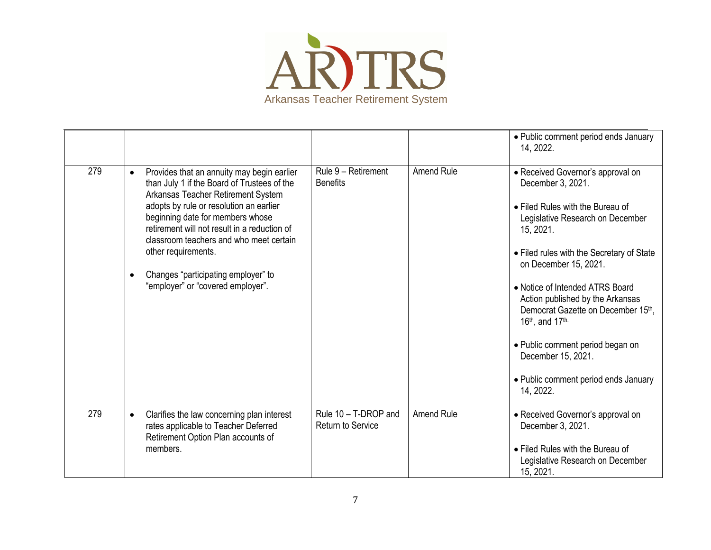

|     |                                                                                                                                                                                                                                                                                                                                                                                                                                        |                                           |                   | • Public comment period ends January<br>14, 2022.                                                                                                                                                                                                                                                                                                                                                                                                                |
|-----|----------------------------------------------------------------------------------------------------------------------------------------------------------------------------------------------------------------------------------------------------------------------------------------------------------------------------------------------------------------------------------------------------------------------------------------|-------------------------------------------|-------------------|------------------------------------------------------------------------------------------------------------------------------------------------------------------------------------------------------------------------------------------------------------------------------------------------------------------------------------------------------------------------------------------------------------------------------------------------------------------|
| 279 | Provides that an annuity may begin earlier<br>$\bullet$<br>than July 1 if the Board of Trustees of the<br>Arkansas Teacher Retirement System<br>adopts by rule or resolution an earlier<br>beginning date for members whose<br>retirement will not result in a reduction of<br>classroom teachers and who meet certain<br>other requirements.<br>Changes "participating employer" to<br>$\bullet$<br>"employer" or "covered employer". | Rule 9 - Retirement<br><b>Benefits</b>    | <b>Amend Rule</b> | • Received Governor's approval on<br>December 3, 2021.<br>• Filed Rules with the Bureau of<br>Legislative Research on December<br>15, 2021.<br>• Filed rules with the Secretary of State<br>on December 15, 2021.<br>• Notice of Intended ATRS Board<br>Action published by the Arkansas<br>Democrat Gazette on December 15th,<br>16th, and 17th.<br>• Public comment period began on<br>December 15, 2021.<br>• Public comment period ends January<br>14, 2022. |
| 279 | Clarifies the law concerning plan interest<br>$\bullet$<br>rates applicable to Teacher Deferred<br>Retirement Option Plan accounts of<br>members.                                                                                                                                                                                                                                                                                      | Rule 10 - T-DROP and<br>Return to Service | <b>Amend Rule</b> | • Received Governor's approval on<br>December 3, 2021.<br>• Filed Rules with the Bureau of<br>Legislative Research on December<br>15, 2021.                                                                                                                                                                                                                                                                                                                      |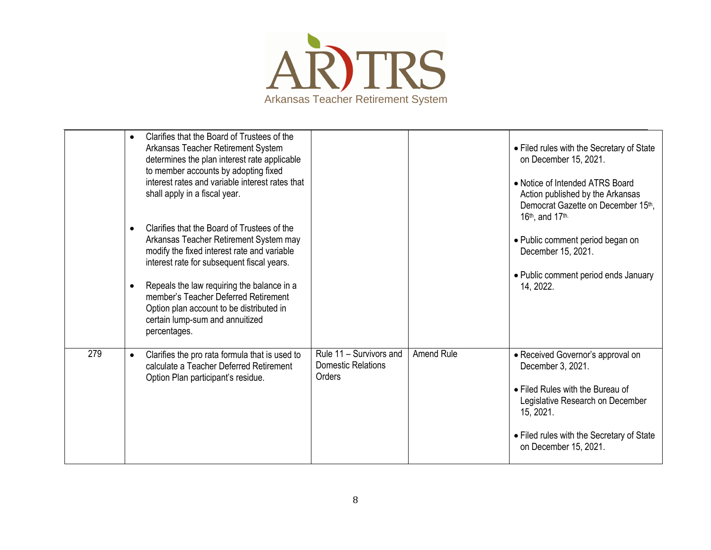

|     | Clarifies that the Board of Trustees of the<br>$\bullet$<br>Arkansas Teacher Retirement System<br>determines the plan interest rate applicable<br>to member accounts by adopting fixed<br>interest rates and variable interest rates that<br>shall apply in a fiscal year.<br>Clarifies that the Board of Trustees of the<br>$\bullet$<br>Arkansas Teacher Retirement System may<br>modify the fixed interest rate and variable<br>interest rate for subsequent fiscal years.<br>Repeals the law requiring the balance in a<br>$\bullet$<br>member's Teacher Deferred Retirement<br>Option plan account to be distributed in<br>certain lump-sum and annuitized<br>percentages. |                                                                |            | • Filed rules with the Secretary of State<br>on December 15, 2021.<br>• Notice of Intended ATRS Board<br>Action published by the Arkansas<br>Democrat Gazette on December 15th,<br>16 <sup>th</sup> , and 17 <sup>th.</sup><br>• Public comment period began on<br>December 15, 2021.<br>• Public comment period ends January<br>14, 2022. |
|-----|---------------------------------------------------------------------------------------------------------------------------------------------------------------------------------------------------------------------------------------------------------------------------------------------------------------------------------------------------------------------------------------------------------------------------------------------------------------------------------------------------------------------------------------------------------------------------------------------------------------------------------------------------------------------------------|----------------------------------------------------------------|------------|--------------------------------------------------------------------------------------------------------------------------------------------------------------------------------------------------------------------------------------------------------------------------------------------------------------------------------------------|
| 279 | Clarifies the pro rata formula that is used to<br>$\bullet$<br>calculate a Teacher Deferred Retirement<br>Option Plan participant's residue.                                                                                                                                                                                                                                                                                                                                                                                                                                                                                                                                    | Rule 11 - Survivors and<br><b>Domestic Relations</b><br>Orders | Amend Rule | • Received Governor's approval on<br>December 3, 2021.<br>• Filed Rules with the Bureau of<br>Legislative Research on December<br>15, 2021.<br>• Filed rules with the Secretary of State<br>on December 15, 2021.                                                                                                                          |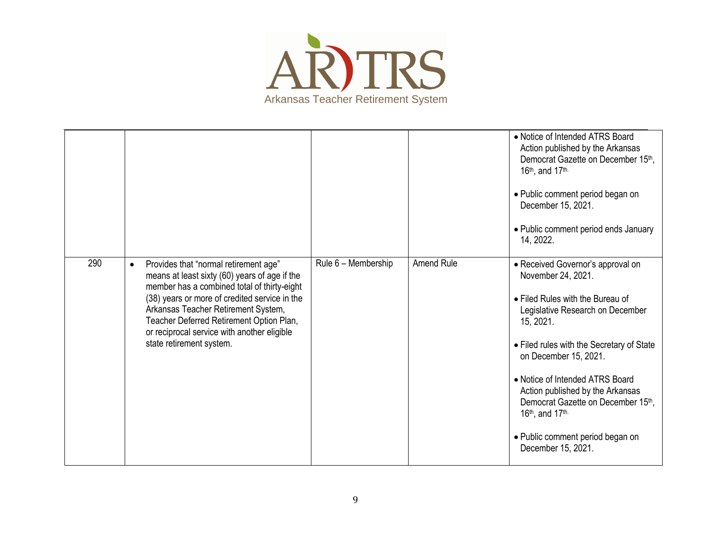

|     |                                                                                                                                                                                                                                                                                                                                                                   |                     |                   | • Notice of Intended ATRS Board<br>Action published by the Arkansas<br>Democrat Gazette on December 15th,<br>16 <sup>th</sup> , and 17 <sup>th.</sup><br>• Public comment period began on<br>December 15, 2021.<br>• Public comment period ends January<br>14, 2022.                                                                                                                                                                  |
|-----|-------------------------------------------------------------------------------------------------------------------------------------------------------------------------------------------------------------------------------------------------------------------------------------------------------------------------------------------------------------------|---------------------|-------------------|---------------------------------------------------------------------------------------------------------------------------------------------------------------------------------------------------------------------------------------------------------------------------------------------------------------------------------------------------------------------------------------------------------------------------------------|
| 290 | Provides that "normal retirement age"<br>$\bullet$<br>means at least sixty (60) years of age if the<br>member has a combined total of thirty-eight<br>(38) years or more of credited service in the<br>Arkansas Teacher Retirement System,<br>Teacher Deferred Retirement Option Plan,<br>or reciprocal service with another eligible<br>state retirement system. | Rule 6 - Membership | <b>Amend Rule</b> | • Received Governor's approval on<br>November 24, 2021.<br>• Filed Rules with the Bureau of<br>Legislative Research on December<br>15, 2021.<br>• Filed rules with the Secretary of State<br>on December 15, 2021.<br>• Notice of Intended ATRS Board<br>Action published by the Arkansas<br>Democrat Gazette on December 15th,<br>16 <sup>th</sup> , and 17 <sup>th.</sup><br>• Public comment period began on<br>December 15, 2021. |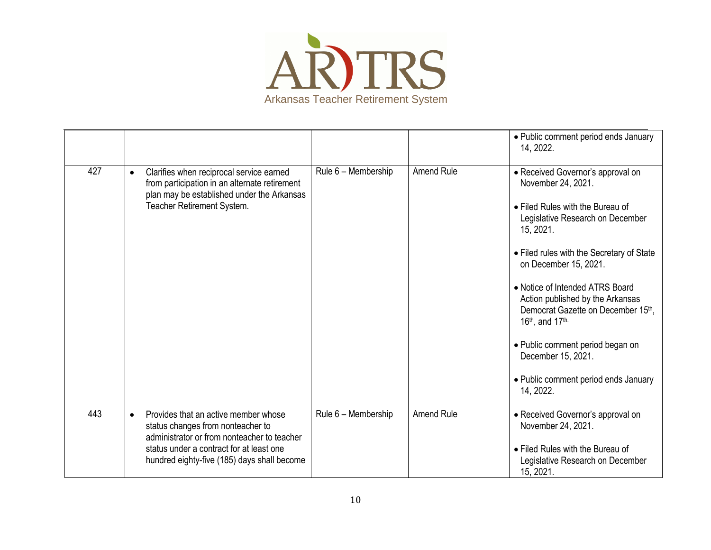

|     |                                                                                                                                                                                    |                     |                   | • Public comment period ends January<br>14, 2022.                                                                                                                                                                                                                                                                                                                                                                                                                 |
|-----|------------------------------------------------------------------------------------------------------------------------------------------------------------------------------------|---------------------|-------------------|-------------------------------------------------------------------------------------------------------------------------------------------------------------------------------------------------------------------------------------------------------------------------------------------------------------------------------------------------------------------------------------------------------------------------------------------------------------------|
| 427 | Clarifies when reciprocal service earned<br>$\bullet$<br>from participation in an alternate retirement<br>plan may be established under the Arkansas<br>Teacher Retirement System. | Rule 6 - Membership | <b>Amend Rule</b> | • Received Governor's approval on<br>November 24, 2021.<br>• Filed Rules with the Bureau of<br>Legislative Research on December<br>15, 2021.<br>• Filed rules with the Secretary of State<br>on December 15, 2021.<br>• Notice of Intended ATRS Board<br>Action published by the Arkansas<br>Democrat Gazette on December 15th,<br>16th, and 17th.<br>• Public comment period began on<br>December 15, 2021.<br>• Public comment period ends January<br>14, 2022. |
|     |                                                                                                                                                                                    |                     |                   |                                                                                                                                                                                                                                                                                                                                                                                                                                                                   |
| 443 | Provides that an active member whose<br>$\bullet$<br>status changes from nonteacher to<br>administrator or from nonteacher to teacher                                              | Rule 6 - Membership | <b>Amend Rule</b> | • Received Governor's approval on<br>November 24, 2021.                                                                                                                                                                                                                                                                                                                                                                                                           |
|     | status under a contract for at least one<br>hundred eighty-five (185) days shall become                                                                                            |                     |                   | • Filed Rules with the Bureau of<br>Legislative Research on December<br>15, 2021.                                                                                                                                                                                                                                                                                                                                                                                 |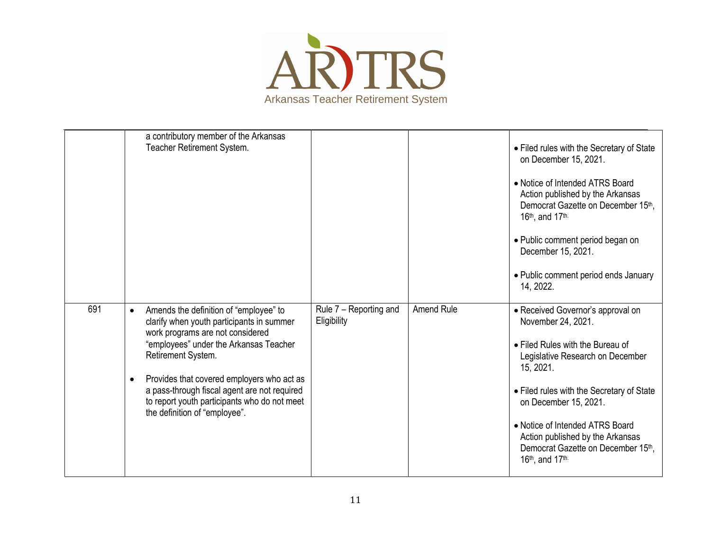

|     | a contributory member of the Arkansas<br>Teacher Retirement System.                                                                                                                                                                                                                                                                                                                              |                                       |            | • Filed rules with the Secretary of State<br>on December 15, 2021.<br>• Notice of Intended ATRS Board<br>Action published by the Arkansas<br>Democrat Gazette on December 15th.<br>16th, and 17th.<br>• Public comment period began on<br>December 15, 2021.<br>• Public comment period ends January<br>14, 2022.                                  |
|-----|--------------------------------------------------------------------------------------------------------------------------------------------------------------------------------------------------------------------------------------------------------------------------------------------------------------------------------------------------------------------------------------------------|---------------------------------------|------------|----------------------------------------------------------------------------------------------------------------------------------------------------------------------------------------------------------------------------------------------------------------------------------------------------------------------------------------------------|
| 691 | Amends the definition of "employee" to<br>$\bullet$<br>clarify when youth participants in summer<br>work programs are not considered<br>"employees" under the Arkansas Teacher<br>Retirement System.<br>Provides that covered employers who act as<br>$\bullet$<br>a pass-through fiscal agent are not required<br>to report youth participants who do not meet<br>the definition of "employee". | Rule 7 - Reporting and<br>Eligibility | Amend Rule | • Received Governor's approval on<br>November 24, 2021.<br>• Filed Rules with the Bureau of<br>Legislative Research on December<br>15, 2021.<br>• Filed rules with the Secretary of State<br>on December 15, 2021.<br>• Notice of Intended ATRS Board<br>Action published by the Arkansas<br>Democrat Gazette on December 15th.<br>16th, and 17th. |